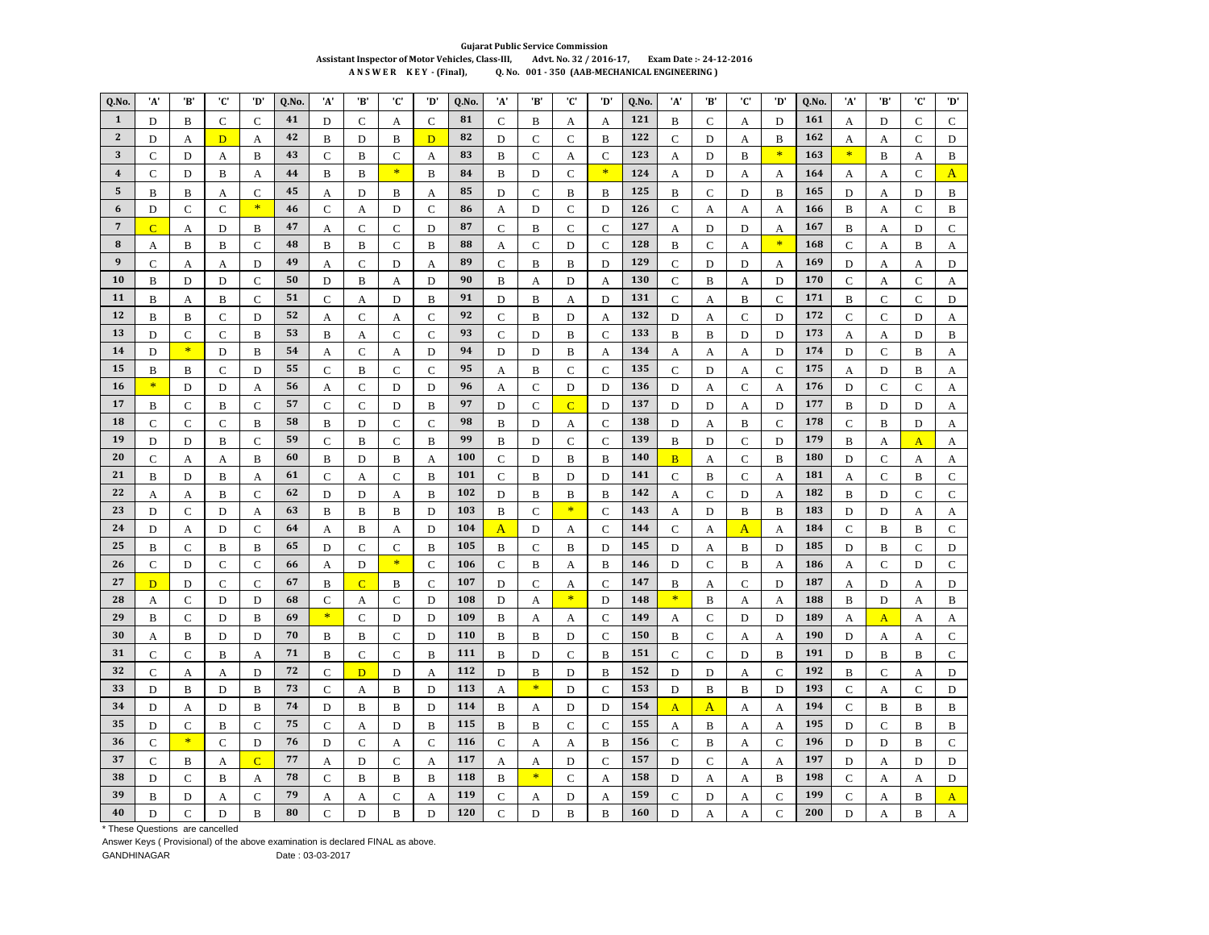## **Gujarat Public Service Commission** Assistant Inspector of Motor Vehicles, Class-III, Advt. No. 32 / 2016-17, Exam Date :- 24-12-2016 ANSWER KEY - (Final), Q. No. 001 - 350 (AAB-MECHANICAL ENGINEERING)

| Q.No.                   | 'A'            | 'B'               | 'C'              | 'D'            | Q.No.    | 'A'                | 'B'            | 'C'               | 'D'            | Q.No.      | 'A'              | 'B'           | 'C'            | 'D'           | Q.No.      | 'A'            | 'B'                 | 'C'           | 'D'                              | Q.No.      | 'A'          | 'B'            | 'C'            | 'D'               |
|-------------------------|----------------|-------------------|------------------|----------------|----------|--------------------|----------------|-------------------|----------------|------------|------------------|---------------|----------------|---------------|------------|----------------|---------------------|---------------|----------------------------------|------------|--------------|----------------|----------------|-------------------|
| $\mathbf{1}$            | D              | B                 | $\mathsf{C}$     | $\mathcal{C}$  | 41       | D                  | $\mathbf C$    | A                 | $\mathbf C$    | 81         | $\mathsf{C}$     | B             | A              | A             | 121        | B              | $\mathbf C$         | A             | D                                | 161        | A            | D              | $\overline{C}$ | $\mathbf C$       |
| $\overline{2}$          | D              | A                 | $\mathbf{D}$     | A              | 42       | B                  | D              | B                 | D              | 82         | D                | $\mathbf C$   | $\mathbf C$    | B             | 122        | $\mathsf{C}$   | D                   | A             | B                                | 162        | A            | A              | $\mathsf{C}$   | D                 |
| 3                       | $\overline{C}$ | D                 | A                | B              | 43       | $\mathbf C$        | $\bf{B}$       | $\mathcal{C}$     | A              | 83         | $\bf{B}$         | $\mathcal{C}$ | A              | $\mathsf{C}$  | 123        | A              | D                   | $\bf{B}$      | $\ast$                           | 163        | $\ast$       | B              | A              | $\bf{B}$          |
| $\overline{\mathbf{4}}$ | $\overline{C}$ | D                 | B                | A              | 44       | B                  | B              | $\ast$            | B              | 84         | B                | D             | $\mathcal{C}$  | $\ast$        | 124        | A              | D                   | A             | A                                | 164        | A            | A              | Ċ              | A                 |
| 5                       | $\, {\bf B}$   | B                 | A                | $\mathsf{C}$   | 45       | A                  | D              | B                 | A              | 85         | D                | $\mathbf C$   | $\, {\bf B}$   | B             | 125        | B              | $\mathbf C$         | D             | B                                | 165        | D            | A              | D              | B                 |
| 6                       | D              | $\mathbf C$       | $\mathbf C$      | $\ast$         | 46       | $\mathsf{C}$       | A              | D                 | $\mathsf{C}$   | 86         | А                | D             | $\mathsf{C}$   | D             | 126        | $\mathsf{C}$   | A                   | А             | A                                | 166        | B            | A              | $\mathcal{C}$  | B                 |
| $\overline{7}$          | $\overline{C}$ | A                 | D                | B              | 47       | А                  | $\mathbf C$    | $\mathbf C$       | D              | 87         | $\mathbf C$      | B             | $\mathbf C$    | $\mathsf{C}$  | 127        | А              | D                   | D             | A                                | 167        | B            | А              | D              | $\mathbf C$       |
| 8                       | A              | B                 | B                | $\mathbf C$    | 48       | B                  | $\, {\bf B}$   | $\mathbf C$       | $\, {\bf B}$   | 88         | A                | $\mathbf C$   | D              | $\mathbf C$   | 128        | $\, {\bf B}$   | $\mathbf C$         | A             | $\ast$                           | 168        | $\mathbf C$  | A              | $\, {\bf B}$   | А                 |
| 9                       | $\mathsf{C}$   | A                 | A                | D              | 49       | А                  | $\mathcal{C}$  | D                 | A              | 89         | $\mathbf C$      | B             | $\, {\bf B}$   | D             | 129        | $\mathsf{C}$   | D                   | D             | $\boldsymbol{A}$                 | 169        | D            | A              | A              | $\mathbf D$       |
| 10                      | B              | D                 | D                | $\mathsf{C}$   | 50       | D                  | B              | A                 | D              | 90         | B                | A             | D              | A             | 130        | $\mathsf{C}$   | B                   | A             | D                                | 170        | C            | A              | $\overline{C}$ | A                 |
| 11                      | B              | A                 | B                | $\mathsf{C}$   | 51       | $\mathsf{C}$       | A              | D                 | B              | 91         | D                | B             | A              | D             | 131        | $\mathcal{C}$  | A                   | B             | $\mathcal{C}$                    | 171        | B            | C              | $\overline{C}$ | D                 |
| 12                      | B              | B                 | $\mathbf C$      | D              | 52       | А                  | $\mathbf C$    | А                 | $\mathbf C$    | 92         | $\mathsf{C}$     | B             | D              | A             | 132        | D              | A                   | $\mathbf C$   | D                                | 172        | $\mathsf{C}$ | $\mathbf C$    | D              | А                 |
| 13                      | D              | $\mathsf{C}$      | $\overline{C}$   | B              | 53       | B                  | A              | $\mathbf C$       | $\overline{C}$ | 93         | $\overline{C}$   | D             | B              | $\mathcal{C}$ | 133        | B              | $\bf{B}$            | D             | D                                | 173        | A            | A              | D              | B                 |
| 14                      | D              | $\ast$            | D                | B              | 54       | А                  | $\mathbf C$    | A                 | D              | 94         | D                | D             | B              | А             | 134        | А              | A                   | A             | D                                | 174        | D            | $\mathbf C$    | B              | A                 |
| 15                      | B              | B                 | $\mathbf C$      | D              | 55       | $\mathsf{C}$       | B              | $\mathbf C$       | $\mathbf C$    | 95         | А                | B             | $\mathbf C$    | $\mathbf C$   | 135        | $\mathcal{C}$  | D                   | А             | $\mathcal{C}$                    | 175        | A            | D              | B              | А                 |
| 16                      | $\ast$         | D                 | D                | A              | 56       | A                  | $\mathbf C$    | D                 | D              | 96         | A                | $\mathbf C$   | D              | D             | 136        | D              | A                   | $\mathsf{C}$  | A                                | 176        | D            | $\mathbf C$    | Ċ              | A                 |
| 17                      | B              | $\mathcal{C}$     | B                | C              | 57       | $\mathbf C$        | $\mathbf C$    | D                 | B              | 97         | D                | $\mathbf C$   | $\overline{C}$ | D             | 137        | D              | D                   | A             | D                                | 177        | B            | D              | D              | А                 |
| 18                      | $\mathsf{C}$   | $\mathbf C$       | $\mathbf C$      | B              | 58       | B                  | D              | $\mathbf C$       | $\mathcal{C}$  | 98         | B                | D             | A              | $\mathcal{C}$ | 138        | D              | А                   | B             | $\mathcal{C}$                    | 178        | $\mathsf{C}$ | B              | D              | А                 |
| 19                      | D              | D                 | $\, {\bf B}$     | $\mathsf{C}$   | 59       | $\mathbf C$        | $\bf{B}$       | $\mathsf{C}$      | $\mathbf B$    | 99         | B                | D             | $\mathbf C$    | $\mathbf C$   | 139        | B              | D                   | $\mathcal{C}$ | D                                | 179        | B            | A              | $\overline{A}$ | A                 |
| 20                      | $\mathbf C$    | A                 | A                | B              | 60       | B                  | D              | B                 | A              | 100        | $\mathsf{C}$     | D             | B              | B             | 140        | $\overline{B}$ | A                   | $\mathbf C$   | $\mathbf B$                      | 180        | D            | $\mathbf C$    | A              | A                 |
| 21                      | B              | D                 | B                | A              | 61       | $\mathsf{C}$       | A              | $\mathbf C$       | B              | 101        | $\mathsf{C}$     | B             | D              | D             | 141        | $\mathsf{C}$   | B                   | $\mathbf C$   | A                                | 181        | А            | $\mathbf C$    | B              | С                 |
| 22                      | A              | A                 | B                | $\mathsf{C}$   | 62       | D                  | D              | A                 | B              | 102        | D                | B             | B              | $\bf{B}$      | 142        | A              | $\mathbf C$         | D             | A                                | 182        | B            | D              | $\overline{C}$ | $\mathsf{C}$      |
| 23                      | D              | $\mathbf C$       | D                | A              | 63       | B                  | B              | B                 | D              | 103        | B                | $\mathcal{C}$ | $\ast$         | $\mathbf C$   | 143        | A              | D                   | B             | $\bf{B}$                         | 183        | D            | D              | A              | A                 |
| 24                      | D              | A                 | D                | $\mathsf{C}$   | 64       | А                  | B              | A                 | D              | 104        | A                | D             | A              | C             | 144        | $\mathsf{C}$   | A                   | A             | A                                | 184        | $\mathsf{C}$ | B              | B              | C                 |
| 25                      | B              | $\mathbf C$       | B                | B              | 65       | D                  | $\mathbf C$    | $\mathbf C$       | B              | 105        | $\, {\bf B}$     | $\mathbf C$   | B              | D             | 145        | D              | A                   | B             | D                                | 185        | D            | B              | $\mathbf C$    | D                 |
| 26                      | $\overline{C}$ | D                 | $\mathbf C$      | $\mathcal{C}$  | 66       | А                  | D              | $\ast$            | $\mathbf C$    | 106        | $\mathbf C$      | B             | A              | $\bf{B}$      | 146        | D              | $\mathbf C$         | $\bf{B}$      | $\overline{A}$                   | 186        | A            | $\overline{C}$ | D              | $\mathbf C$       |
| 27                      | D              | D                 | C                | $\mathsf{C}$   | 67       | B                  | $\overline{C}$ | B                 | $\mathbf C$    | 107        | D                | $\mathbf C$   | A              | $\mathsf{C}$  | 147        | B              | A                   | $\mathbf C$   | D                                | 187        | A            | D              | A              | D                 |
| 28                      | A              | $\mathbf C$       | D                | D              | 68       | $\mathsf{C}$       | A              | $\mathbf C$       | $\mathbf D$    | 108        | D                | A             | $\ast$         | D             | 148        | $\ast$         | B                   | A             | A                                | 188        | B            | D              | A              | B                 |
| 29                      | B              | $\mathbf C$       | D                | B              | 69       | $\ast$             | $\mathbf C$    | D                 | D              | 109        | B                | A             | A              | $\mathbf C$   | 149        | A              | $\mathbf C$         | D             | D                                | 189        | А            | $\mathbf{A}$   | А              | A                 |
| 30                      | А              | B                 | D                | D              | 70       | B                  | B              | $\mathbf C$       | D              | 110        | B                | B             | D              | $\mathcal{C}$ | 150        | B              | $\mathbf C$         | A             | A                                | 190        | D            | A              | A              | $\mathbf C$       |
| 31                      | $\mathbf C$    | $\mathbf C$       | $\, {\bf B}$     | A              | 71       | B                  | $\mathbf C$    | $\mathsf{C}$      | $\mathbf B$    | 111        | B                | D             | $\mathbf C$    | $\bf{B}$      | 151        | $\mathcal{C}$  | $\mathbf C$         | D             | $\mathbf B$                      | 191        | D            | $\overline{B}$ | $\, {\bf B}$   | $\mathsf C$       |
| 32                      | $\overline{C}$ | A                 | A                | D              | 72       | $\mathbf C$        | $\overline{D}$ | D                 | A              | 112        | D                | B<br>$\ast$   | D              | $\bf{B}$      | 152        | D              | D                   | A             | $\overline{C}$                   | 192        | $\bf{B}$     | $\mathbf C$    | A              | D                 |
| 33                      | D              | B                 | D                | B              | 73       | C                  | A              | B                 | D              | 113        | A                |               | D              | $\mathbf C$   | 153        | D              | B                   | B             | D                                | 193        | C            | А              | $\overline{C}$ | D                 |
| 34                      | D              | A                 | D                | B              | 74       | D                  | B              | B                 | D              | 114        | B                | A             | D              | D             | 154        | $\mathbf{A}$   | $\mathbf{A}$        | A             | A                                | 194        | $\mathsf{C}$ | B              | B              | B                 |
| 35                      | D              | C<br>$\ast$       | B                | C              | 75       | $\mathsf{C}$       | A              | D                 | B              | 115        | B                | B             | $\mathsf{C}$   | $\mathcal{C}$ | 155        | А              | B                   | А             | A                                | 195        | D            | $\mathbf C$    | B              | B                 |
| 36                      | $\overline{C}$ |                   | $\overline{C}$   | D              | 76       | D                  | $\mathbf C$    | A                 | $\mathbf C$    | 116        | $\mathsf{C}$     | A             | A              | B             | 156        | $\mathbf C$    | $\bf{B}$            | A             | $\overline{C}$                   | 196        | D            | D              | B              | $\mathbf C$       |
| 37                      | $\mathbf C$    | B                 | A                | $\overline{C}$ | 77       | А                  | D              | $\mathbf C$       | A              | 117        | A                | A<br>$\ast$   | D              | $\mathbf C$   | 157        | D              | $\mathbf C$         | A             | $\mathbf{A}$                     | 197        | D            | A              | D              | D                 |
| 38<br>39                | D              | C                 | B                | A              | 78<br>79 | $\mathsf{C}$       | B              | B                 | B              | 118<br>119 | B                |               | $\mathcal{C}$  | A             | 158<br>159 | D              | A                   | А             | $\mathbf B$                      | 198<br>199 | C            | A              | A              | D                 |
| 40                      | B<br>D         | D<br>$\mathsf{C}$ | А<br>$\mathbf D$ | C<br>$\bf{B}$  | 80       | A<br>$\mathcal{C}$ | А<br>D         | C<br>$\mathbf{B}$ | А<br>D         | 120        | C<br>$\mathbf C$ | Α<br>D        | D<br>B         | Α<br>B        | 160        | Ċ<br>D         | D<br>$\overline{A}$ | A<br>A        | $\overline{C}$<br>$\overline{C}$ | 200        | C<br>D       | Α<br>A         | B<br>B         | $\mathsf{A}$<br>A |
|                         |                |                   |                  |                |          |                    |                |                   |                |            |                  |               |                |               |            |                |                     |               |                                  |            |              |                |                |                   |

\* These Questions are cancelled

Answer Keys (Provisional) of the above examination is declared FINAL as above. GANDHINAGAR Date: 03-03-2017